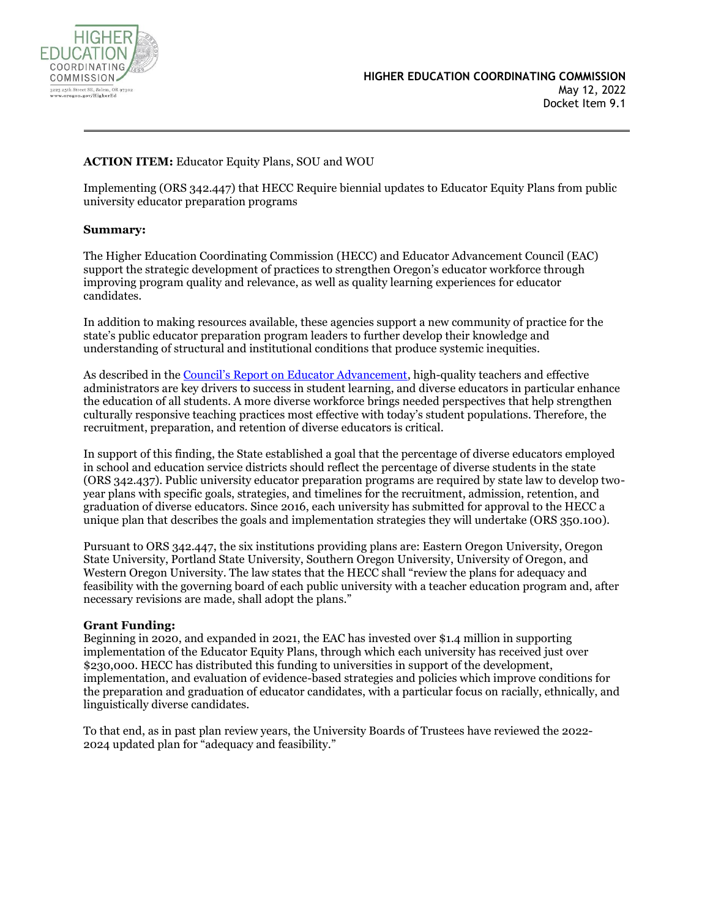

# **ACTION ITEM:** Educator Equity Plans, SOU and WOU

Implementing (ORS 342.447) that HECC Require biennial updates to Educator Equity Plans from public university educator preparation programs

## **Summary:**

The Higher Education Coordinating Commission (HECC) and Educator Advancement Council (EAC) support the strategic development of practices to strengthen Oregon's educator workforce through improving program quality and relevance, as well as quality learning experiences for educator candidates.

In addition to making resources available, these agencies support a new community of practice for the state's public educator preparation program leaders to further develop their knowledge and understanding of structural and institutional conditions that produce systemic inequities.

As described in the Council's [Report on Educator Advancement,](https://www.opb.org/pdf/ed_educator_advancement_report_cedo_nov_2016_1527045640594.pdf) high-quality teachers and effective administrators are key drivers to success in student learning, and diverse educators in particular enhance the education of all students. A more diverse workforce brings needed perspectives that help strengthen culturally responsive teaching practices most effective with today's student populations. Therefore, the recruitment, preparation, and retention of diverse educators is critical.

In support of this finding, the State established a goal that the percentage of diverse educators employed in school and education service districts should reflect the percentage of diverse students in the state (ORS 342.437). Public university educator preparation programs are required by state law to develop twoyear plans with specific goals, strategies, and timelines for the recruitment, admission, retention, and graduation of diverse educators. Since 2016, each university has submitted for approval to the HECC a unique plan that describes the goals and implementation strategies they will undertake (ORS 350.100).

Pursuant to ORS 342.447, the six institutions providing plans are: Eastern Oregon University, Oregon State University, Portland State University, Southern Oregon University, University of Oregon, and Western Oregon University. The law states that the HECC shall "review the plans for adequacy and feasibility with the governing board of each public university with a teacher education program and, after necessary revisions are made, shall adopt the plans."

## **Grant Funding:**

Beginning in 2020, and expanded in 2021, the EAC has invested over \$1.4 million in supporting implementation of the Educator Equity Plans, through which each university has received just over \$230,000. HECC has distributed this funding to universities in support of the development, implementation, and evaluation of evidence-based strategies and policies which improve conditions for the preparation and graduation of educator candidates, with a particular focus on racially, ethnically, and linguistically diverse candidates.

To that end, as in past plan review years, the University Boards of Trustees have reviewed the 2022- 2024 updated plan for "adequacy and feasibility."